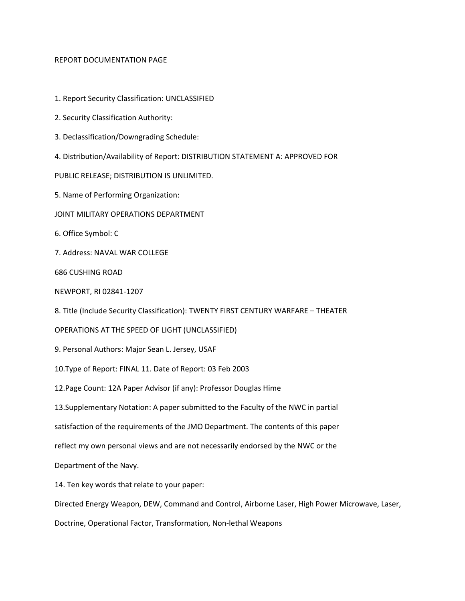#### REPORT DOCUMENTATION PAGE

- 1. Report Security Classification: UNCLASSIFIED
- 2. Security Classification Authority:
- 3. Declassification/Downgrading Schedule:
- 4. Distribution/Availability of Report: DISTRIBUTION STATEMENT A: APPROVED FOR

PUBLIC RELEASE; DISTRIBUTION IS UNLIMITED.

5. Name of Performing Organization:

- JOINT MILITARY OPERATIONS DEPARTMENT
- 6. Office Symbol: C
- 7. Address: NAVAL WAR COLLEGE

686 CUSHING ROAD

NEWPORT, RI 02841‐1207

8. Title (Include Security Classification): TWENTY FIRST CENTURY WARFARE – THEATER

OPERATIONS AT THE SPEED OF LIGHT (UNCLASSIFIED)

9. Personal Authors: Major Sean L. Jersey, USAF

10.Type of Report: FINAL 11. Date of Report: 03 Feb 2003

12.Page Count: 12A Paper Advisor (if any): Professor Douglas Hime

13.Supplementary Notation: A paper submitted to the Faculty of the NWC in partial

satisfaction of the requirements of the JMO Department. The contents of this paper

reflect my own personal views and are not necessarily endorsed by the NWC or the

Department of the Navy.

14. Ten key words that relate to your paper:

Directed Energy Weapon, DEW, Command and Control, Airborne Laser, High Power Microwave, Laser,

Doctrine, Operational Factor, Transformation, Non‐lethal Weapons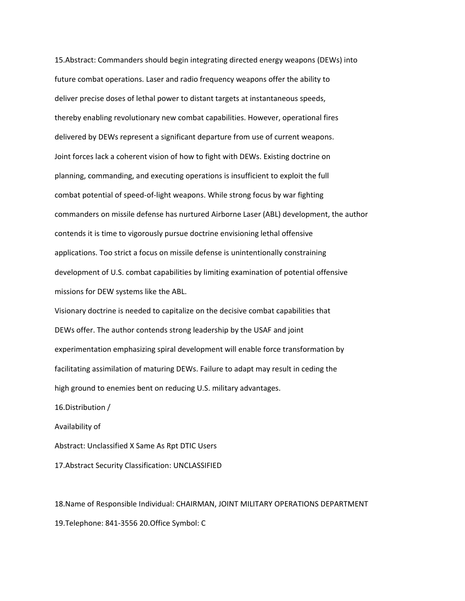15.Abstract: Commanders should begin integrating directed energy weapons (DEWs) into future combat operations. Laser and radio frequency weapons offer the ability to deliver precise doses of lethal power to distant targets at instantaneous speeds, thereby enabling revolutionary new combat capabilities. However, operational fires delivered by DEWs represent a significant departure from use of current weapons. Joint forces lack a coherent vision of how to fight with DEWs. Existing doctrine on planning, commanding, and executing operations is insufficient to exploit the full combat potential of speed‐of‐light weapons. While strong focus by war fighting commanders on missile defense has nurtured Airborne Laser (ABL) development, the author contends it is time to vigorously pursue doctrine envisioning lethal offensive applications. Too strict a focus on missile defense is unintentionally constraining development of U.S. combat capabilities by limiting examination of potential offensive missions for DEW systems like the ABL.

Visionary doctrine is needed to capitalize on the decisive combat capabilities that DEWs offer. The author contends strong leadership by the USAF and joint experimentation emphasizing spiral development will enable force transformation by facilitating assimilation of maturing DEWs. Failure to adapt may result in ceding the high ground to enemies bent on reducing U.S. military advantages.

16.Distribution /

Availability of

Abstract: Unclassified X Same As Rpt DTIC Users

17.Abstract Security Classification: UNCLASSIFIED

18.Name of Responsible Individual: CHAIRMAN, JOINT MILITARY OPERATIONS DEPARTMENT 19.Telephone: 841‐3556 20.Office Symbol: C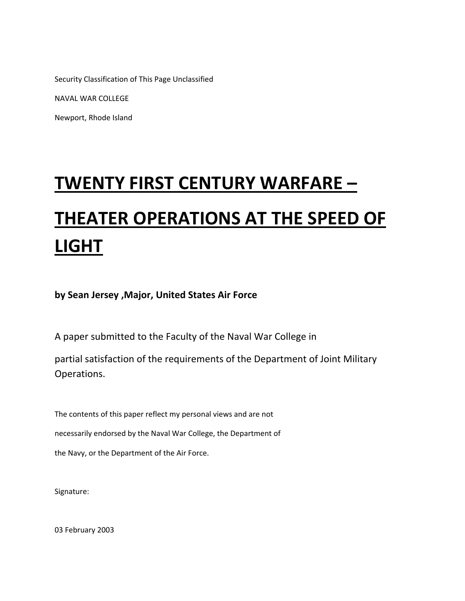Security Classification of This Page Unclassified

NAVAL WAR COLLEGE

Newport, Rhode Island

## **TWENTY FIRST CENTURY WARFARE –**

# **THEATER OPERATIONS AT THE SPEED OF LIGHT**

**by Sean Jersey ,Major, United States Air Force** 

A paper submitted to the Faculty of the Naval War College in

partial satisfaction of the requirements of the Department of Joint Military Operations.

The contents of this paper reflect my personal views and are not necessarily endorsed by the Naval War College, the Department of the Navy, or the Department of the Air Force.

Signature:

03 February 2003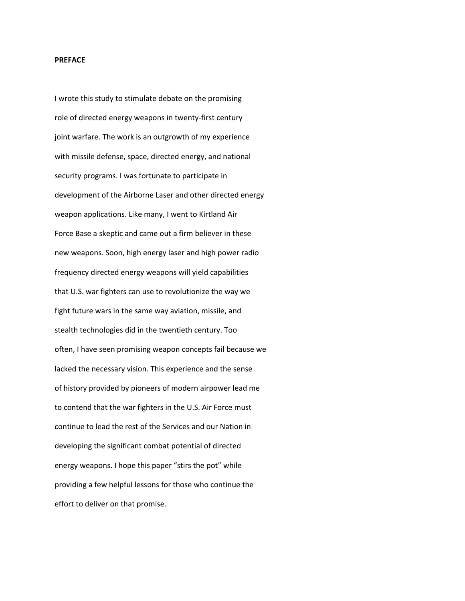#### **PREFACE**

I wrote this study to stimulate debate on the promising role of directed energy weapons in twenty‐first century joint warfare. The work is an outgrowth of my experience with missile defense, space, directed energy, and national security programs. I was fortunate to participate in development of the Airborne Laser and other directed energy weapon applications. Like many, I went to Kirtland Air Force Base a skeptic and came out a firm believer in these new weapons. Soon, high energy laser and high power radio frequency directed energy weapons will yield capabilities that U.S. war fighters can use to revolutionize the way we fight future wars in the same way aviation, missile, and stealth technologies did in the twentieth century. Too often, I have seen promising weapon concepts fail because we lacked the necessary vision. This experience and the sense of history provided by pioneers of modern airpower lead me to contend that the war fighters in the U.S. Air Force must continue to lead the rest of the Services and our Nation in developing the significant combat potential of directed energy weapons. I hope this paper "stirs the pot" while providing a few helpful lessons for those who continue the effort to deliver on that promise.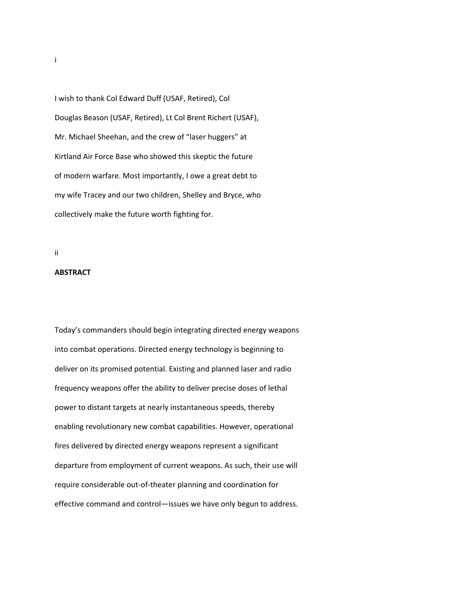I wish to thank Col Edward Duff (USAF, Retired), Col Douglas Beason (USAF, Retired), Lt Col Brent Richert (USAF), Mr. Michael Sheehan, and the crew of "laser huggers" at Kirtland Air Force Base who showed this skeptic the future of modern warfare. Most importantly, I owe a great debt to my wife Tracey and our two children, Shelley and Bryce, who collectively make the future worth fighting for.

#### ii

#### **ABSTRACT**

Today's commanders should begin integrating directed energy weapons into combat operations. Directed energy technology is beginning to deliver on its promised potential. Existing and planned laser and radio frequency weapons offer the ability to deliver precise doses of lethal power to distant targets at nearly instantaneous speeds, thereby enabling revolutionary new combat capabilities. However, operational fires delivered by directed energy weapons represent a significant departure from employment of current weapons. As such, their use will require considerable out‐of‐theater planning and coordination for effective command and control—issues we have only begun to address.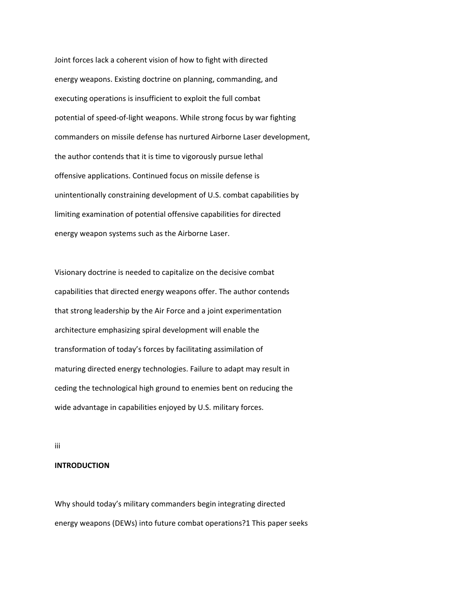Joint forces lack a coherent vision of how to fight with directed energy weapons. Existing doctrine on planning, commanding, and executing operations is insufficient to exploit the full combat potential of speed‐of‐light weapons. While strong focus by war fighting commanders on missile defense has nurtured Airborne Laser development, the author contends that it is time to vigorously pursue lethal offensive applications. Continued focus on missile defense is unintentionally constraining development of U.S. combat capabilities by limiting examination of potential offensive capabilities for directed energy weapon systems such as the Airborne Laser.

Visionary doctrine is needed to capitalize on the decisive combat capabilities that directed energy weapons offer. The author contends that strong leadership by the Air Force and a joint experimentation architecture emphasizing spiral development will enable the transformation of today's forces by facilitating assimilation of maturing directed energy technologies. Failure to adapt may result in ceding the technological high ground to enemies bent on reducing the wide advantage in capabilities enjoyed by U.S. military forces.

iii

#### **INTRODUCTION**

Why should today's military commanders begin integrating directed energy weapons (DEWs) into future combat operations?1 This paper seeks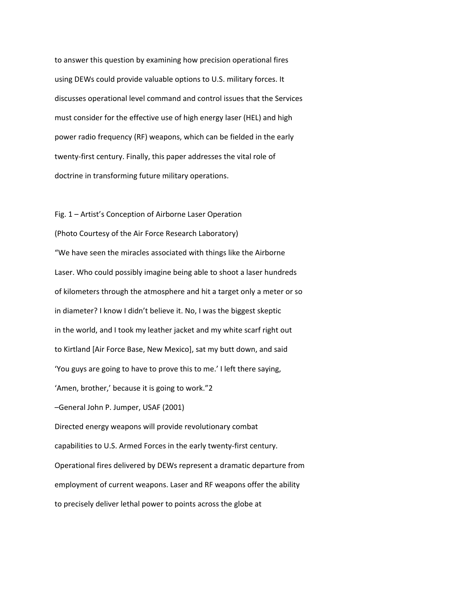to answer this question by examining how precision operational fires using DEWs could provide valuable options to U.S. military forces. It discusses operational level command and control issues that the Services must consider for the effective use of high energy laser (HEL) and high power radio frequency (RF) weapons, which can be fielded in the early twenty‐first century. Finally, this paper addresses the vital role of doctrine in transforming future military operations.

Fig. 1 – Artist's Conception of Airborne Laser Operation (Photo Courtesy of the Air Force Research Laboratory) "We have seen the miracles associated with things like the Airborne Laser. Who could possibly imagine being able to shoot a laser hundreds of kilometers through the atmosphere and hit a target only a meter or so in diameter? I know I didn't believe it. No, I was the biggest skeptic in the world, and I took my leather jacket and my white scarf right out to Kirtland [Air Force Base, New Mexico], sat my butt down, and said 'You guys are going to have to prove this to me.' I left there saying, 'Amen, brother,' because it is going to work."2 –General John P. Jumper, USAF (2001) Directed energy weapons will provide revolutionary combat capabilities to U.S. Armed Forces in the early twenty‐first century. Operational fires delivered by DEWs represent a dramatic departure from employment of current weapons. Laser and RF weapons offer the ability to precisely deliver lethal power to points across the globe at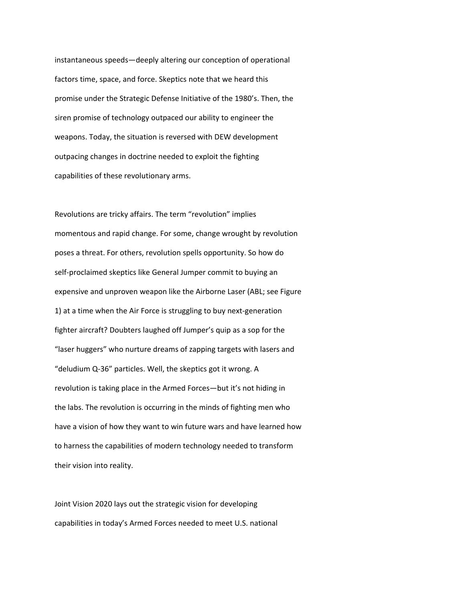instantaneous speeds—deeply altering our conception of operational factors time, space, and force. Skeptics note that we heard this promise under the Strategic Defense Initiative of the 1980's. Then, the siren promise of technology outpaced our ability to engineer the weapons. Today, the situation is reversed with DEW development outpacing changes in doctrine needed to exploit the fighting capabilities of these revolutionary arms.

Revolutions are tricky affairs. The term "revolution" implies momentous and rapid change. For some, change wrought by revolution poses a threat. For others, revolution spells opportunity. So how do self‐proclaimed skeptics like General Jumper commit to buying an expensive and unproven weapon like the Airborne Laser (ABL; see Figure 1) at a time when the Air Force is struggling to buy next-generation fighter aircraft? Doubters laughed off Jumper's quip as a sop for the "laser huggers" who nurture dreams of zapping targets with lasers and "deludium Q‐36" particles. Well, the skeptics got it wrong. A revolution is taking place in the Armed Forces—but it's not hiding in the labs. The revolution is occurring in the minds of fighting men who have a vision of how they want to win future wars and have learned how to harness the capabilities of modern technology needed to transform their vision into reality.

Joint Vision 2020 lays out the strategic vision for developing capabilities in today's Armed Forces needed to meet U.S. national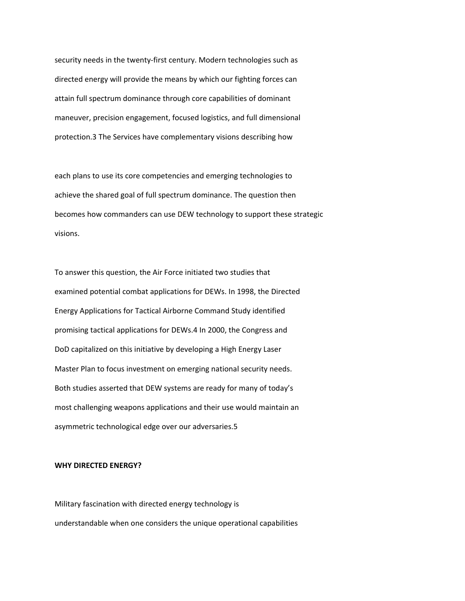security needs in the twenty‐first century. Modern technologies such as directed energy will provide the means by which our fighting forces can attain full spectrum dominance through core capabilities of dominant maneuver, precision engagement, focused logistics, and full dimensional protection.3 The Services have complementary visions describing how

each plans to use its core competencies and emerging technologies to achieve the shared goal of full spectrum dominance. The question then becomes how commanders can use DEW technology to support these strategic visions.

To answer this question, the Air Force initiated two studies that examined potential combat applications for DEWs. In 1998, the Directed Energy Applications for Tactical Airborne Command Study identified promising tactical applications for DEWs.4 In 2000, the Congress and DoD capitalized on this initiative by developing a High Energy Laser Master Plan to focus investment on emerging national security needs. Both studies asserted that DEW systems are ready for many of today's most challenging weapons applications and their use would maintain an asymmetric technological edge over our adversaries.5

#### **WHY DIRECTED ENERGY?**

Military fascination with directed energy technology is understandable when one considers the unique operational capabilities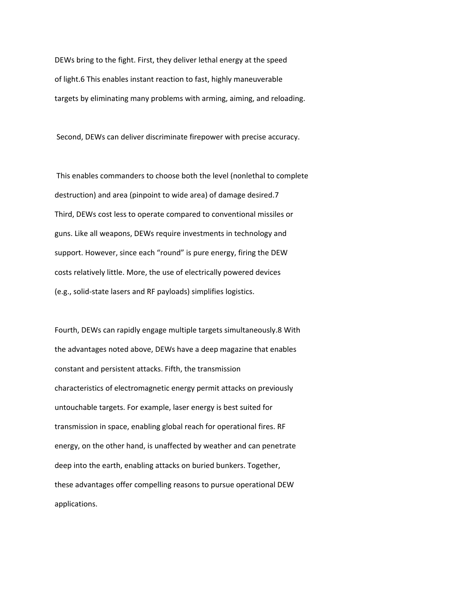DEWs bring to the fight. First, they deliver lethal energy at the speed of light.6 This enables instant reaction to fast, highly maneuverable targets by eliminating many problems with arming, aiming, and reloading.

Second, DEWs can deliver discriminate firepower with precise accuracy.

This enables commanders to choose both the level (nonlethal to complete destruction) and area (pinpoint to wide area) of damage desired.7 Third, DEWs cost less to operate compared to conventional missiles or guns. Like all weapons, DEWs require investments in technology and support. However, since each "round" is pure energy, firing the DEW costs relatively little. More, the use of electrically powered devices (e.g., solid‐state lasers and RF payloads) simplifies logistics.

Fourth, DEWs can rapidly engage multiple targets simultaneously.8 With the advantages noted above, DEWs have a deep magazine that enables constant and persistent attacks. Fifth, the transmission characteristics of electromagnetic energy permit attacks on previously untouchable targets. For example, laser energy is best suited for transmission in space, enabling global reach for operational fires. RF energy, on the other hand, is unaffected by weather and can penetrate deep into the earth, enabling attacks on buried bunkers. Together, these advantages offer compelling reasons to pursue operational DEW applications.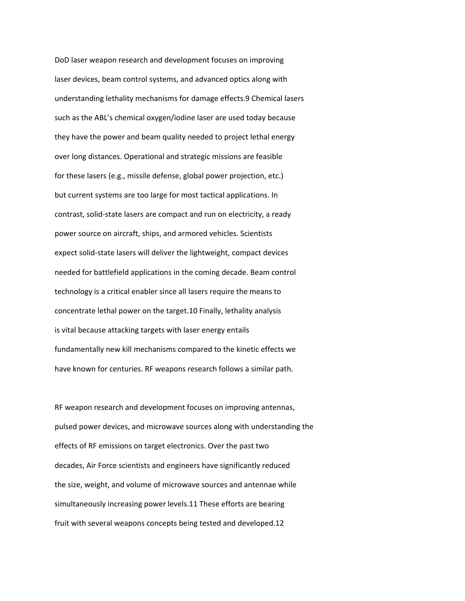DoD laser weapon research and development focuses on improving laser devices, beam control systems, and advanced optics along with understanding lethality mechanisms for damage effects.9 Chemical lasers such as the ABL's chemical oxygen/iodine laser are used today because they have the power and beam quality needed to project lethal energy over long distances. Operational and strategic missions are feasible for these lasers (e.g., missile defense, global power projection, etc.) but current systems are too large for most tactical applications. In contrast, solid‐state lasers are compact and run on electricity, a ready power source on aircraft, ships, and armored vehicles. Scientists expect solid-state lasers will deliver the lightweight, compact devices needed for battlefield applications in the coming decade. Beam control technology is a critical enabler since all lasers require the means to concentrate lethal power on the target.10 Finally, lethality analysis is vital because attacking targets with laser energy entails fundamentally new kill mechanisms compared to the kinetic effects we have known for centuries. RF weapons research follows a similar path.

RF weapon research and development focuses on improving antennas, pulsed power devices, and microwave sources along with understanding the effects of RF emissions on target electronics. Over the past two decades, Air Force scientists and engineers have significantly reduced the size, weight, and volume of microwave sources and antennae while simultaneously increasing power levels.11 These efforts are bearing fruit with several weapons concepts being tested and developed.12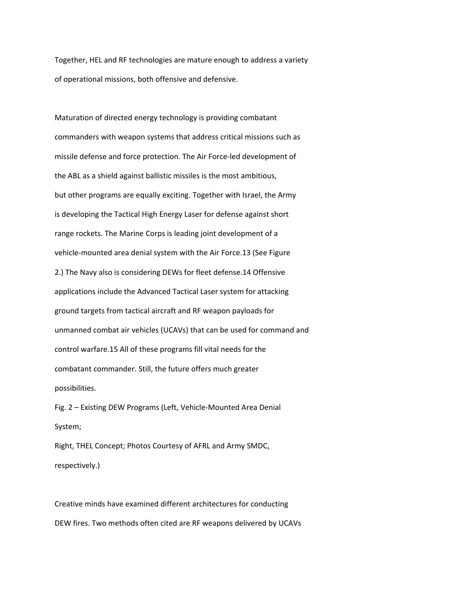Together, HEL and RF technologies are mature enough to address a variety of operational missions, both offensive and defensive.

Maturation of directed energy technology is providing combatant commanders with weapon systems that address critical missions such as missile defense and force protection. The Air Force‐led development of the ABL as a shield against ballistic missiles is the most ambitious, but other programs are equally exciting. Together with Israel, the Army is developing the Tactical High Energy Laser for defense against short range rockets. The Marine Corps is leading joint development of a vehicle‐mounted area denial system with the Air Force.13 (See Figure 2.) The Navy also is considering DEWs for fleet defense.14 Offensive applications include the Advanced Tactical Laser system for attacking ground targets from tactical aircraft and RF weapon payloads for unmanned combat air vehicles (UCAVs) that can be used for command and control warfare.15 All of these programs fill vital needs for the combatant commander. Still, the future offers much greater possibilities.

Fig. 2 – Existing DEW Programs (Left, Vehicle‐Mounted Area Denial System;

Right, THEL Concept; Photos Courtesy of AFRL and Army SMDC, respectively.)

Creative minds have examined different architectures for conducting DEW fires. Two methods often cited are RF weapons delivered by UCAVs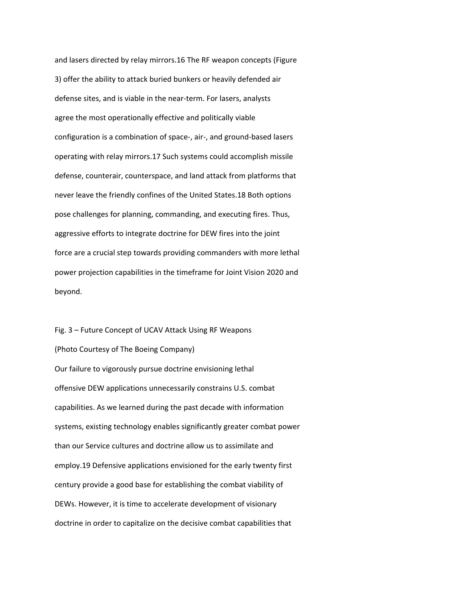and lasers directed by relay mirrors.16 The RF weapon concepts (Figure 3) offer the ability to attack buried bunkers or heavily defended air defense sites, and is viable in the near‐term. For lasers, analysts agree the most operationally effective and politically viable configuration is a combination of space‐, air‐, and ground‐based lasers operating with relay mirrors.17 Such systems could accomplish missile defense, counterair, counterspace, and land attack from platforms that never leave the friendly confines of the United States.18 Both options pose challenges for planning, commanding, and executing fires. Thus, aggressive efforts to integrate doctrine for DEW fires into the joint force are a crucial step towards providing commanders with more lethal power projection capabilities in the timeframe for Joint Vision 2020 and beyond.

Fig. 3 – Future Concept of UCAV Attack Using RF Weapons (Photo Courtesy of The Boeing Company) Our failure to vigorously pursue doctrine envisioning lethal offensive DEW applications unnecessarily constrains U.S. combat capabilities. As we learned during the past decade with information systems, existing technology enables significantly greater combat power than our Service cultures and doctrine allow us to assimilate and employ.19 Defensive applications envisioned for the early twenty first century provide a good base for establishing the combat viability of DEWs. However, it is time to accelerate development of visionary doctrine in order to capitalize on the decisive combat capabilities that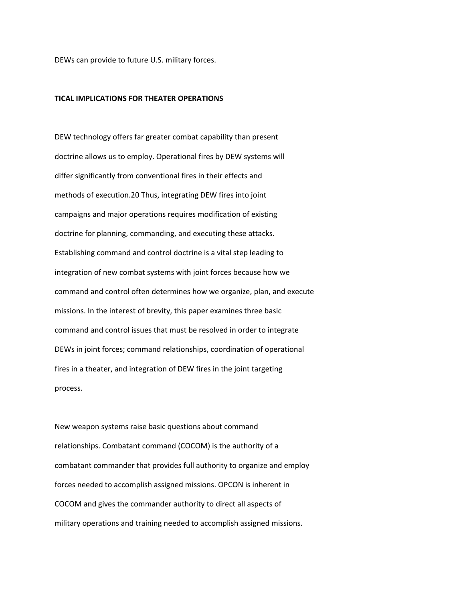DEWs can provide to future U.S. military forces.

#### **TICAL IMPLICATIONS FOR THEATER OPERATIONS**

DEW technology offers far greater combat capability than present doctrine allows us to employ. Operational fires by DEW systems will differ significantly from conventional fires in their effects and methods of execution.20 Thus, integrating DEW fires into joint campaigns and major operations requires modification of existing doctrine for planning, commanding, and executing these attacks. Establishing command and control doctrine is a vital step leading to integration of new combat systems with joint forces because how we command and control often determines how we organize, plan, and execute missions. In the interest of brevity, this paper examines three basic command and control issues that must be resolved in order to integrate DEWs in joint forces; command relationships, coordination of operational fires in a theater, and integration of DEW fires in the joint targeting process.

New weapon systems raise basic questions about command relationships. Combatant command (COCOM) is the authority of a combatant commander that provides full authority to organize and employ forces needed to accomplish assigned missions. OPCON is inherent in COCOM and gives the commander authority to direct all aspects of military operations and training needed to accomplish assigned missions.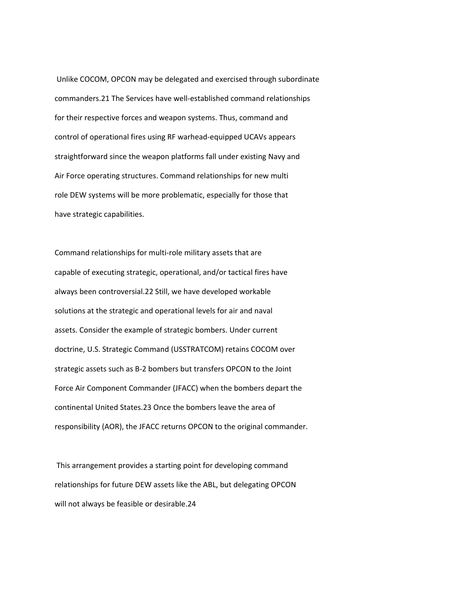Unlike COCOM, OPCON may be delegated and exercised through subordinate commanders.21 The Services have well‐established command relationships for their respective forces and weapon systems. Thus, command and control of operational fires using RF warhead‐equipped UCAVs appears straightforward since the weapon platforms fall under existing Navy and Air Force operating structures. Command relationships for new multi role DEW systems will be more problematic, especially for those that have strategic capabilities.

Command relationships for multi‐role military assets that are capable of executing strategic, operational, and/or tactical fires have always been controversial.22 Still, we have developed workable solutions at the strategic and operational levels for air and naval assets. Consider the example of strategic bombers. Under current doctrine, U.S. Strategic Command (USSTRATCOM) retains COCOM over strategic assets such as B‐2 bombers but transfers OPCON to the Joint Force Air Component Commander (JFACC) when the bombers depart the continental United States.23 Once the bombers leave the area of responsibility (AOR), the JFACC returns OPCON to the original commander.

This arrangement provides a starting point for developing command relationships for future DEW assets like the ABL, but delegating OPCON will not always be feasible or desirable.24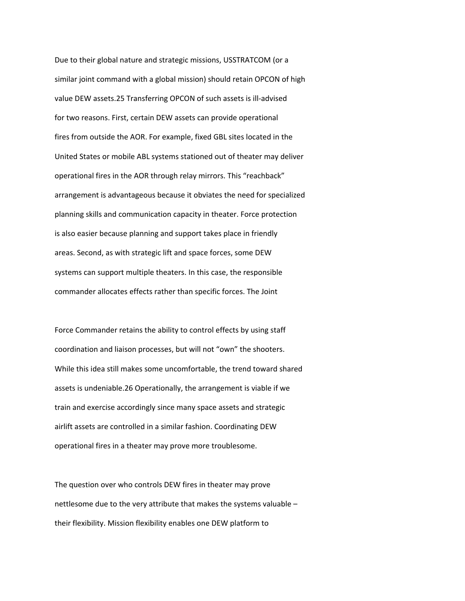Due to their global nature and strategic missions, USSTRATCOM (or a similar joint command with a global mission) should retain OPCON of high value DEW assets.25 Transferring OPCON of such assets is ill‐advised for two reasons. First, certain DEW assets can provide operational fires from outside the AOR. For example, fixed GBL sites located in the United States or mobile ABL systems stationed out of theater may deliver operational fires in the AOR through relay mirrors. This "reachback" arrangement is advantageous because it obviates the need for specialized planning skills and communication capacity in theater. Force protection is also easier because planning and support takes place in friendly areas. Second, as with strategic lift and space forces, some DEW systems can support multiple theaters. In this case, the responsible commander allocates effects rather than specific forces. The Joint

Force Commander retains the ability to control effects by using staff coordination and liaison processes, but will not "own" the shooters. While this idea still makes some uncomfortable, the trend toward shared assets is undeniable.26 Operationally, the arrangement is viable if we train and exercise accordingly since many space assets and strategic airlift assets are controlled in a similar fashion. Coordinating DEW operational fires in a theater may prove more troublesome.

The question over who controls DEW fires in theater may prove nettlesome due to the very attribute that makes the systems valuable – their flexibility. Mission flexibility enables one DEW platform to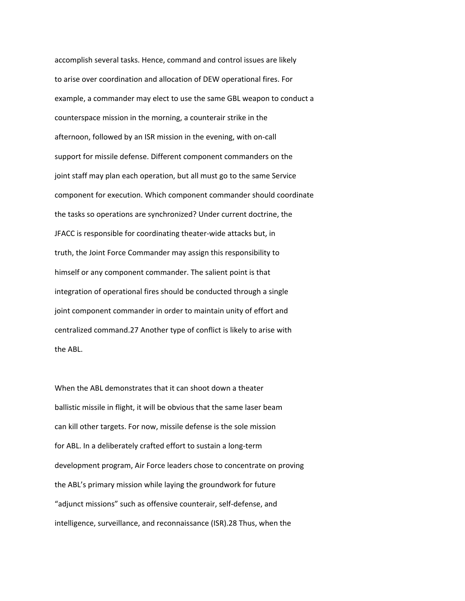accomplish several tasks. Hence, command and control issues are likely to arise over coordination and allocation of DEW operational fires. For example, a commander may elect to use the same GBL weapon to conduct a counterspace mission in the morning, a counterair strike in the afternoon, followed by an ISR mission in the evening, with on‐call support for missile defense. Different component commanders on the joint staff may plan each operation, but all must go to the same Service component for execution. Which component commander should coordinate the tasks so operations are synchronized? Under current doctrine, the JFACC is responsible for coordinating theater‐wide attacks but, in truth, the Joint Force Commander may assign this responsibility to himself or any component commander. The salient point is that integration of operational fires should be conducted through a single joint component commander in order to maintain unity of effort and centralized command.27 Another type of conflict is likely to arise with the ABL.

When the ABL demonstrates that it can shoot down a theater ballistic missile in flight, it will be obvious that the same laser beam can kill other targets. For now, missile defense is the sole mission for ABL. In a deliberately crafted effort to sustain a long‐term development program, Air Force leaders chose to concentrate on proving the ABL's primary mission while laying the groundwork for future "adjunct missions" such as offensive counterair, self‐defense, and intelligence, surveillance, and reconnaissance (ISR).28 Thus, when the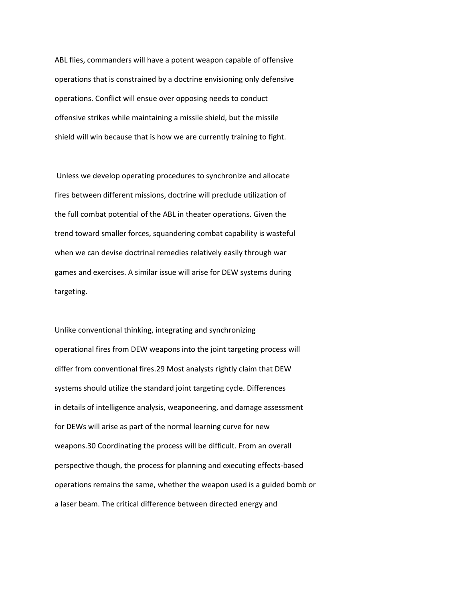ABL flies, commanders will have a potent weapon capable of offensive operations that is constrained by a doctrine envisioning only defensive operations. Conflict will ensue over opposing needs to conduct offensive strikes while maintaining a missile shield, but the missile shield will win because that is how we are currently training to fight.

Unless we develop operating procedures to synchronize and allocate fires between different missions, doctrine will preclude utilization of the full combat potential of the ABL in theater operations. Given the trend toward smaller forces, squandering combat capability is wasteful when we can devise doctrinal remedies relatively easily through war games and exercises. A similar issue will arise for DEW systems during targeting.

Unlike conventional thinking, integrating and synchronizing operational fires from DEW weapons into the joint targeting process will differ from conventional fires.29 Most analysts rightly claim that DEW systems should utilize the standard joint targeting cycle. Differences in details of intelligence analysis, weaponeering, and damage assessment for DEWs will arise as part of the normal learning curve for new weapons.30 Coordinating the process will be difficult. From an overall perspective though, the process for planning and executing effects‐based operations remains the same, whether the weapon used is a guided bomb or a laser beam. The critical difference between directed energy and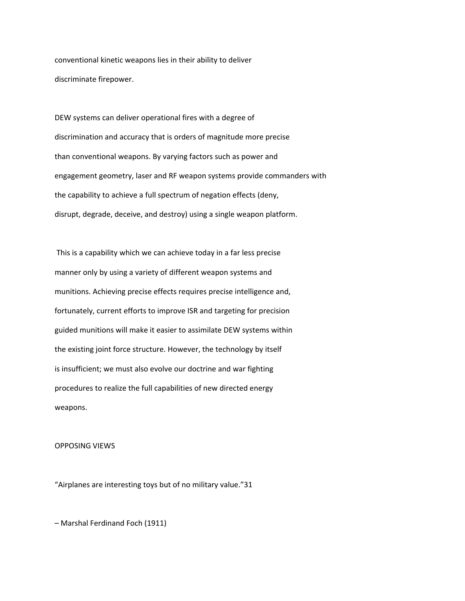conventional kinetic weapons lies in their ability to deliver discriminate firepower.

DEW systems can deliver operational fires with a degree of discrimination and accuracy that is orders of magnitude more precise than conventional weapons. By varying factors such as power and engagement geometry, laser and RF weapon systems provide commanders with the capability to achieve a full spectrum of negation effects (deny, disrupt, degrade, deceive, and destroy) using a single weapon platform.

This is a capability which we can achieve today in a far less precise manner only by using a variety of different weapon systems and munitions. Achieving precise effects requires precise intelligence and, fortunately, current efforts to improve ISR and targeting for precision guided munitions will make it easier to assimilate DEW systems within the existing joint force structure. However, the technology by itself is insufficient; we must also evolve our doctrine and war fighting procedures to realize the full capabilities of new directed energy weapons.

#### OPPOSING VIEWS

"Airplanes are interesting toys but of no military value."31

– Marshal Ferdinand Foch (1911)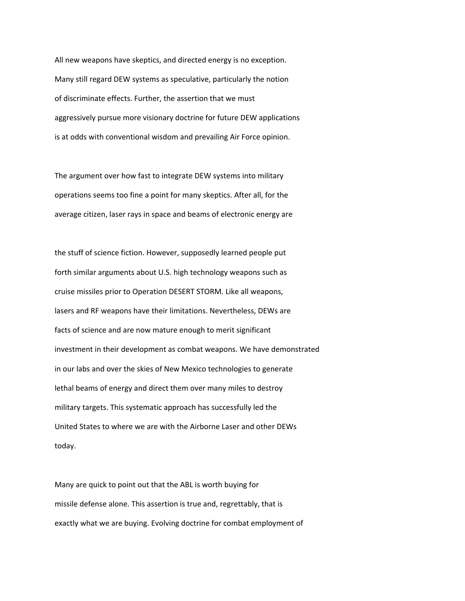All new weapons have skeptics, and directed energy is no exception. Many still regard DEW systems as speculative, particularly the notion of discriminate effects. Further, the assertion that we must aggressively pursue more visionary doctrine for future DEW applications is at odds with conventional wisdom and prevailing Air Force opinion.

The argument over how fast to integrate DEW systems into military operations seems too fine a point for many skeptics. After all, for the average citizen, laser rays in space and beams of electronic energy are

the stuff of science fiction. However, supposedly learned people put forth similar arguments about U.S. high technology weapons such as cruise missiles prior to Operation DESERT STORM. Like all weapons, lasers and RF weapons have their limitations. Nevertheless, DEWs are facts of science and are now mature enough to merit significant investment in their development as combat weapons. We have demonstrated in our labs and over the skies of New Mexico technologies to generate lethal beams of energy and direct them over many miles to destroy military targets. This systematic approach has successfully led the United States to where we are with the Airborne Laser and other DEWs today.

Many are quick to point out that the ABL is worth buying for missile defense alone. This assertion is true and, regrettably, that is exactly what we are buying. Evolving doctrine for combat employment of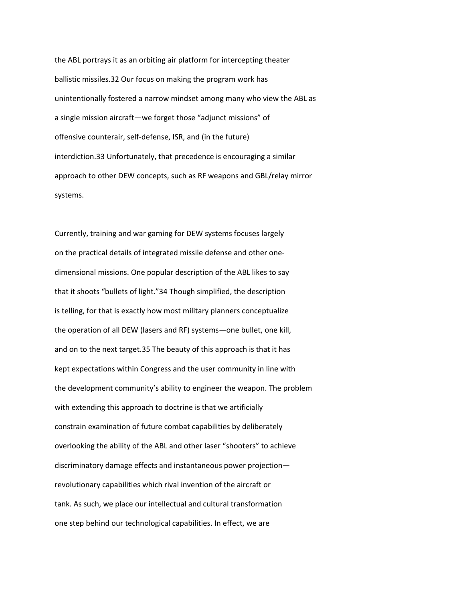the ABL portrays it as an orbiting air platform for intercepting theater ballistic missiles.32 Our focus on making the program work has unintentionally fostered a narrow mindset among many who view the ABL as a single mission aircraft—we forget those "adjunct missions" of offensive counterair, self‐defense, ISR, and (in the future) interdiction.33 Unfortunately, that precedence is encouraging a similar approach to other DEW concepts, such as RF weapons and GBL/relay mirror systems.

Currently, training and war gaming for DEW systems focuses largely on the practical details of integrated missile defense and other one‐ dimensional missions. One popular description of the ABL likes to say that it shoots "bullets of light."34 Though simplified, the description is telling, for that is exactly how most military planners conceptualize the operation of all DEW (lasers and RF) systems—one bullet, one kill, and on to the next target.35 The beauty of this approach is that it has kept expectations within Congress and the user community in line with the development community's ability to engineer the weapon. The problem with extending this approach to doctrine is that we artificially constrain examination of future combat capabilities by deliberately overlooking the ability of the ABL and other laser "shooters" to achieve discriminatory damage effects and instantaneous power projection revolutionary capabilities which rival invention of the aircraft or tank. As such, we place our intellectual and cultural transformation one step behind our technological capabilities. In effect, we are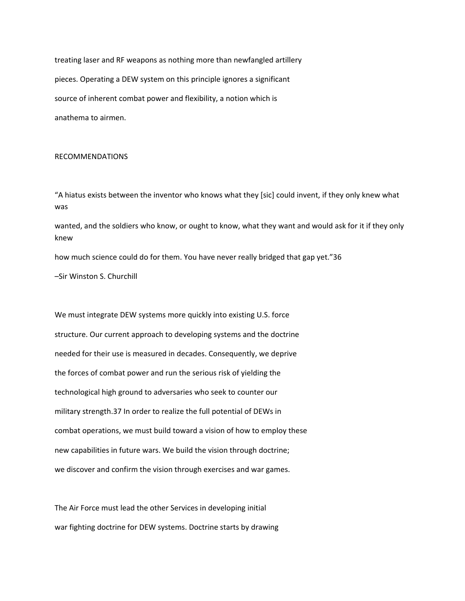treating laser and RF weapons as nothing more than newfangled artillery pieces. Operating a DEW system on this principle ignores a significant source of inherent combat power and flexibility, a notion which is anathema to airmen.

#### RECOMMENDATIONS

"A hiatus exists between the inventor who knows what they [sic] could invent, if they only knew what was

wanted, and the soldiers who know, or ought to know, what they want and would ask for it if they only knew

how much science could do for them. You have never really bridged that gap yet."36

–Sir Winston S. Churchill

We must integrate DEW systems more quickly into existing U.S. force structure. Our current approach to developing systems and the doctrine needed for their use is measured in decades. Consequently, we deprive the forces of combat power and run the serious risk of yielding the technological high ground to adversaries who seek to counter our military strength.37 In order to realize the full potential of DEWs in combat operations, we must build toward a vision of how to employ these new capabilities in future wars. We build the vision through doctrine; we discover and confirm the vision through exercises and war games.

The Air Force must lead the other Services in developing initial war fighting doctrine for DEW systems. Doctrine starts by drawing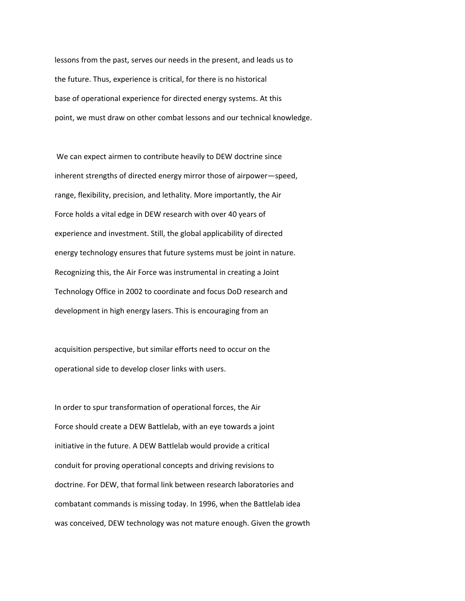lessons from the past, serves our needs in the present, and leads us to the future. Thus, experience is critical, for there is no historical base of operational experience for directed energy systems. At this point, we must draw on other combat lessons and our technical knowledge.

We can expect airmen to contribute heavily to DEW doctrine since inherent strengths of directed energy mirror those of airpower—speed, range, flexibility, precision, and lethality. More importantly, the Air Force holds a vital edge in DEW research with over 40 years of experience and investment. Still, the global applicability of directed energy technology ensures that future systems must be joint in nature. Recognizing this, the Air Force was instrumental in creating a Joint Technology Office in 2002 to coordinate and focus DoD research and development in high energy lasers. This is encouraging from an

acquisition perspective, but similar efforts need to occur on the operational side to develop closer links with users.

In order to spur transformation of operational forces, the Air Force should create a DEW Battlelab, with an eye towards a joint initiative in the future. A DEW Battlelab would provide a critical conduit for proving operational concepts and driving revisions to doctrine. For DEW, that formal link between research laboratories and combatant commands is missing today. In 1996, when the Battlelab idea was conceived, DEW technology was not mature enough. Given the growth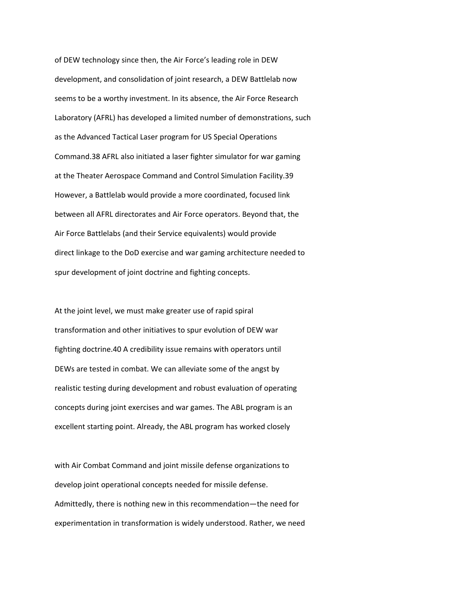of DEW technology since then, the Air Force's leading role in DEW development, and consolidation of joint research, a DEW Battlelab now seems to be a worthy investment. In its absence, the Air Force Research Laboratory (AFRL) has developed a limited number of demonstrations, such as the Advanced Tactical Laser program for US Special Operations Command.38 AFRL also initiated a laser fighter simulator for war gaming at the Theater Aerospace Command and Control Simulation Facility.39 However, a Battlelab would provide a more coordinated, focused link between all AFRL directorates and Air Force operators. Beyond that, the Air Force Battlelabs (and their Service equivalents) would provide direct linkage to the DoD exercise and war gaming architecture needed to spur development of joint doctrine and fighting concepts.

At the joint level, we must make greater use of rapid spiral transformation and other initiatives to spur evolution of DEW war fighting doctrine.40 A credibility issue remains with operators until DEWs are tested in combat. We can alleviate some of the angst by realistic testing during development and robust evaluation of operating concepts during joint exercises and war games. The ABL program is an excellent starting point. Already, the ABL program has worked closely

with Air Combat Command and joint missile defense organizations to develop joint operational concepts needed for missile defense. Admittedly, there is nothing new in this recommendation—the need for experimentation in transformation is widely understood. Rather, we need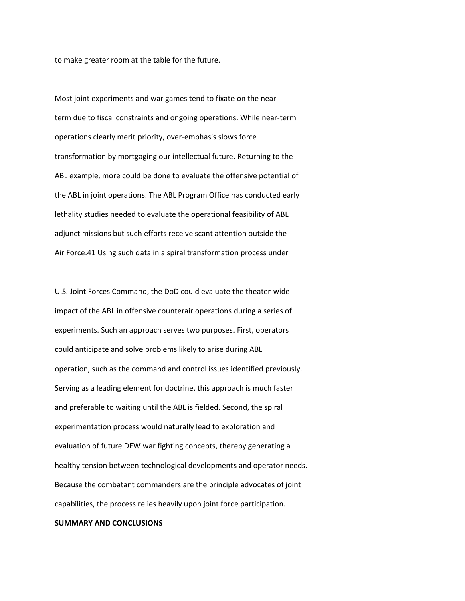to make greater room at the table for the future.

Most joint experiments and war games tend to fixate on the near term due to fiscal constraints and ongoing operations. While near‐term operations clearly merit priority, over‐emphasis slows force transformation by mortgaging our intellectual future. Returning to the ABL example, more could be done to evaluate the offensive potential of the ABL in joint operations. The ABL Program Office has conducted early lethality studies needed to evaluate the operational feasibility of ABL adjunct missions but such efforts receive scant attention outside the Air Force.41 Using such data in a spiral transformation process under

U.S. Joint Forces Command, the DoD could evaluate the theater‐wide impact of the ABL in offensive counterair operations during a series of experiments. Such an approach serves two purposes. First, operators could anticipate and solve problems likely to arise during ABL operation, such as the command and control issues identified previously. Serving as a leading element for doctrine, this approach is much faster and preferable to waiting until the ABL is fielded. Second, the spiral experimentation process would naturally lead to exploration and evaluation of future DEW war fighting concepts, thereby generating a healthy tension between technological developments and operator needs. Because the combatant commanders are the principle advocates of joint capabilities, the process relies heavily upon joint force participation.

#### **SUMMARY AND CONCLUSIONS**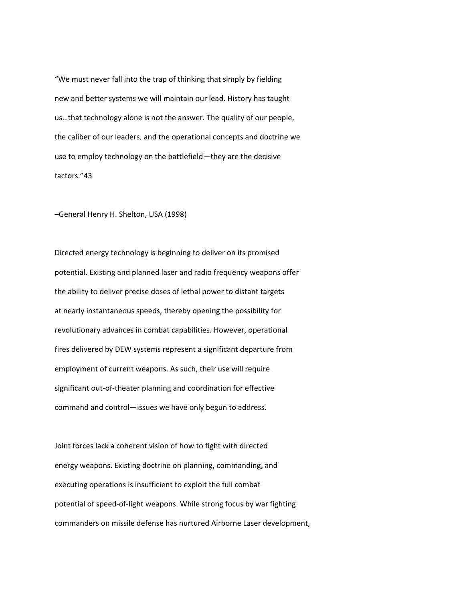"We must never fall into the trap of thinking that simply by fielding new and better systems we will maintain our lead. History has taught us…that technology alone is not the answer. The quality of our people, the caliber of our leaders, and the operational concepts and doctrine we use to employ technology on the battlefield—they are the decisive factors."43

–General Henry H. Shelton, USA (1998)

Directed energy technology is beginning to deliver on its promised potential. Existing and planned laser and radio frequency weapons offer the ability to deliver precise doses of lethal power to distant targets at nearly instantaneous speeds, thereby opening the possibility for revolutionary advances in combat capabilities. However, operational fires delivered by DEW systems represent a significant departure from employment of current weapons. As such, their use will require significant out‐of‐theater planning and coordination for effective command and control—issues we have only begun to address.

Joint forces lack a coherent vision of how to fight with directed energy weapons. Existing doctrine on planning, commanding, and executing operations is insufficient to exploit the full combat potential of speed‐of‐light weapons. While strong focus by war fighting commanders on missile defense has nurtured Airborne Laser development,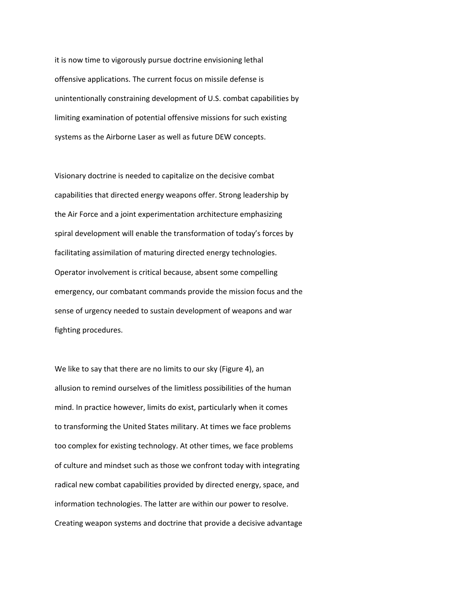it is now time to vigorously pursue doctrine envisioning lethal offensive applications. The current focus on missile defense is unintentionally constraining development of U.S. combat capabilities by limiting examination of potential offensive missions for such existing systems as the Airborne Laser as well as future DEW concepts.

Visionary doctrine is needed to capitalize on the decisive combat capabilities that directed energy weapons offer. Strong leadership by the Air Force and a joint experimentation architecture emphasizing spiral development will enable the transformation of today's forces by facilitating assimilation of maturing directed energy technologies. Operator involvement is critical because, absent some compelling emergency, our combatant commands provide the mission focus and the sense of urgency needed to sustain development of weapons and war fighting procedures.

We like to say that there are no limits to our sky (Figure 4), an allusion to remind ourselves of the limitless possibilities of the human mind. In practice however, limits do exist, particularly when it comes to transforming the United States military. At times we face problems too complex for existing technology. At other times, we face problems of culture and mindset such as those we confront today with integrating radical new combat capabilities provided by directed energy, space, and information technologies. The latter are within our power to resolve. Creating weapon systems and doctrine that provide a decisive advantage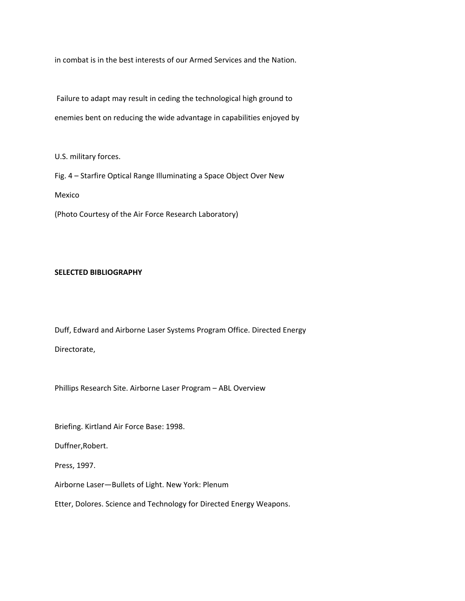in combat is in the best interests of our Armed Services and the Nation.

Failure to adapt may result in ceding the technological high ground to enemies bent on reducing the wide advantage in capabilities enjoyed by

U.S. military forces.

Fig. 4 – Starfire Optical Range Illuminating a Space Object Over New Mexico

(Photo Courtesy of the Air Force Research Laboratory)

#### **SELECTED BIBLIOGRAPHY**

Duff, Edward and Airborne Laser Systems Program Office. Directed Energy Directorate,

Phillips Research Site. Airborne Laser Program – ABL Overview

Briefing. Kirtland Air Force Base: 1998.

Duffner,Robert.

Press, 1997.

Airborne Laser—Bullets of Light. New York: Plenum

Etter, Dolores. Science and Technology for Directed Energy Weapons.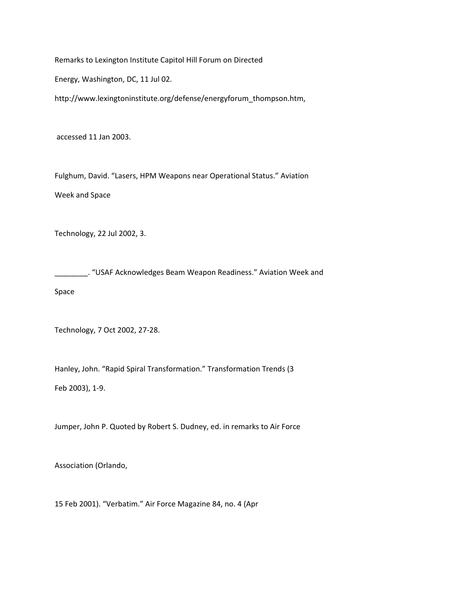Remarks to Lexington Institute Capitol Hill Forum on Directed

Energy, Washington, DC, 11 Jul 02.

http://www.lexingtoninstitute.org/defense/energyforum\_thompson.htm,

accessed 11 Jan 2003.

Fulghum, David. "Lasers, HPM Weapons near Operational Status." Aviation Week and Space

Technology, 22 Jul 2002, 3.

\_\_\_\_\_\_. "USAF Acknowledges Beam Weapon Readiness." Aviation Week and Space

Technology, 7 Oct 2002, 27‐28.

Hanley, John. "Rapid Spiral Transformation." Transformation Trends (3 Feb 2003), 1‐9.

Jumper, John P. Quoted by Robert S. Dudney, ed. in remarks to Air Force

Association (Orlando,

15 Feb 2001). "Verbatim." Air Force Magazine 84, no. 4 (Apr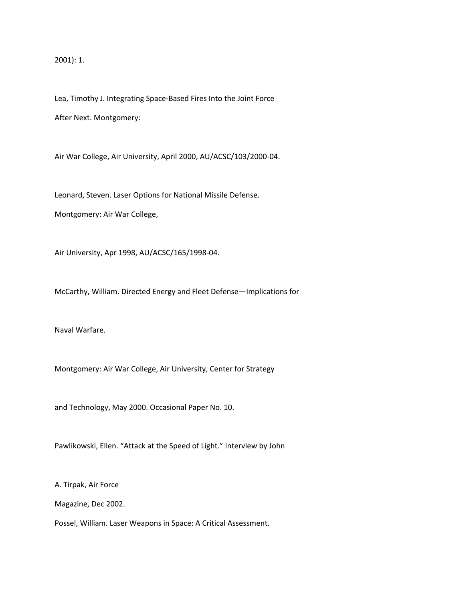2001): 1.

Lea, Timothy J. Integrating Space‐Based Fires Into the Joint Force After Next. Montgomery:

Air War College, Air University, April 2000, AU/ACSC/103/2000‐04.

Leonard, Steven. Laser Options for National Missile Defense.

Montgomery: Air War College,

Air University, Apr 1998, AU/ACSC/165/1998‐04.

McCarthy, William. Directed Energy and Fleet Defense—Implications for

Naval Warfare.

Montgomery: Air War College, Air University, Center for Strategy

and Technology, May 2000. Occasional Paper No. 10.

Pawlikowski, Ellen. "Attack at the Speed of Light." Interview by John

A. Tirpak, Air Force

Magazine, Dec 2002.

Possel, William. Laser Weapons in Space: A Critical Assessment.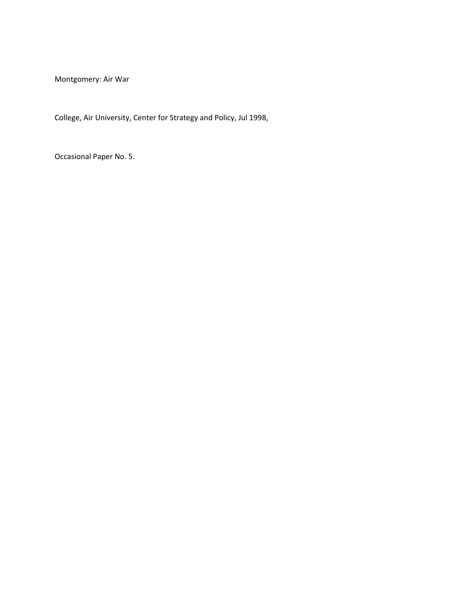Montgomery: Air War

College, Air University, Center for Strategy and Policy, Jul 1998,

Occasional Paper No. 5.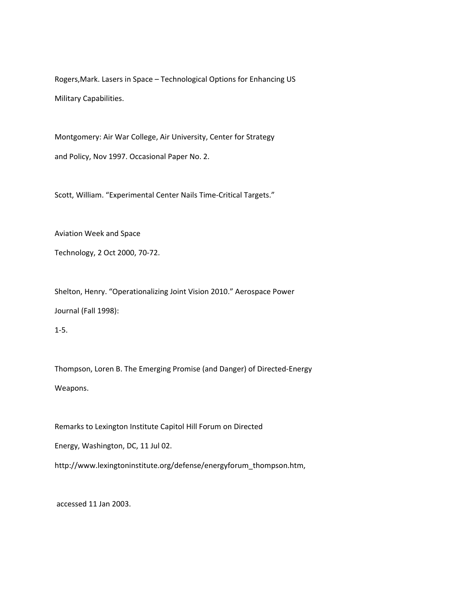Rogers,Mark. Lasers in Space – Technological Options for Enhancing US Military Capabilities.

Montgomery: Air War College, Air University, Center for Strategy and Policy, Nov 1997. Occasional Paper No. 2.

Scott, William. "Experimental Center Nails Time‐Critical Targets."

Aviation Week and Space

Technology, 2 Oct 2000, 70‐72.

Shelton, Henry. "Operationalizing Joint Vision 2010." Aerospace Power Journal (Fall 1998):

1‐5.

Thompson, Loren B. The Emerging Promise (and Danger) of Directed‐Energy Weapons.

Remarks to Lexington Institute Capitol Hill Forum on Directed

Energy, Washington, DC, 11 Jul 02.

http://www.lexingtoninstitute.org/defense/energyforum\_thompson.htm,

accessed 11 Jan 2003.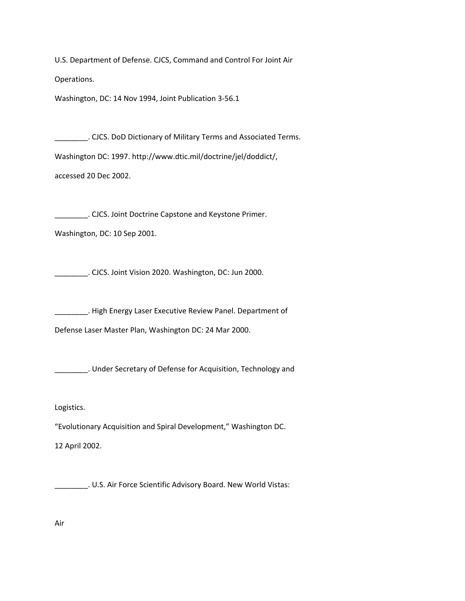U.S. Department of Defense. CJCS, Command and Control For Joint Air Operations.

Washington, DC: 14 Nov 1994, Joint Publication 3‐56.1

\_\_\_\_\_\_\_\_. CJCS. DoD Dictionary of Military Terms and Associated Terms. Washington DC: 1997. http://www.dtic.mil/doctrine/jel/doddict/, accessed 20 Dec 2002.

\_\_\_\_\_\_\_\_. CJCS. Joint Doctrine Capstone and Keystone Primer.

Washington, DC: 10 Sep 2001.

\_\_\_\_\_\_\_\_. CJCS. Joint Vision 2020. Washington, DC: Jun 2000.

\_\_\_\_\_\_\_\_. High Energy Laser Executive Review Panel. Department of

Defense Laser Master Plan, Washington DC: 24 Mar 2000.

\_\_\_\_\_\_\_\_. Under Secretary of Defense for Acquisition, Technology and

Logistics.

"Evolutionary Acquisition and Spiral Development," Washington DC.

12 April 2002.

\_\_\_\_\_\_\_\_. U.S. Air Force Scientific Advisory Board. New World Vistas:

Air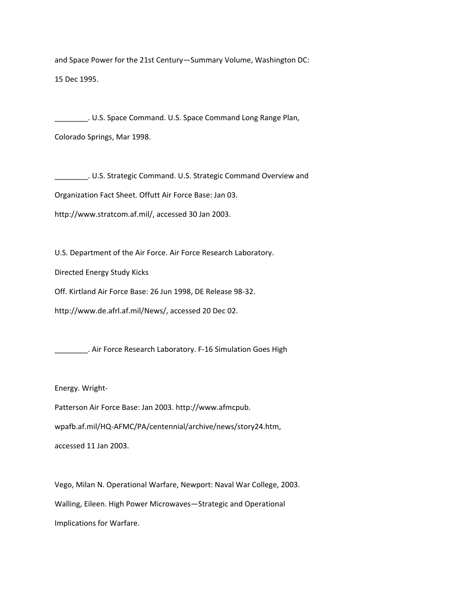and Space Power for the 21st Century—Summary Volume, Washington DC: 15 Dec 1995.

U.S. Space Command. U.S. Space Command Long Range Plan, Colorado Springs, Mar 1998.

\_\_\_\_\_\_\_\_. U.S. Strategic Command. U.S. Strategic Command Overview and

Organization Fact Sheet. Offutt Air Force Base: Jan 03.

http://www.stratcom.af.mil/, accessed 30 Jan 2003.

U.S. Department of the Air Force. Air Force Research Laboratory.

Directed Energy Study Kicks

Off. Kirtland Air Force Base: 26 Jun 1998, DE Release 98‐32.

http://www.de.afrl.af.mil/News/, accessed 20 Dec 02.

\_\_\_\_\_\_\_. Air Force Research Laboratory. F-16 Simulation Goes High

Energy. Wright‐

Patterson Air Force Base: Jan 2003. http://www.afmcpub.

wpafb.af.mil/HQ‐AFMC/PA/centennial/archive/news/story24.htm,

accessed 11 Jan 2003.

Vego, Milan N. Operational Warfare, Newport: Naval War College, 2003. Walling, Eileen. High Power Microwaves—Strategic and Operational Implications for Warfare.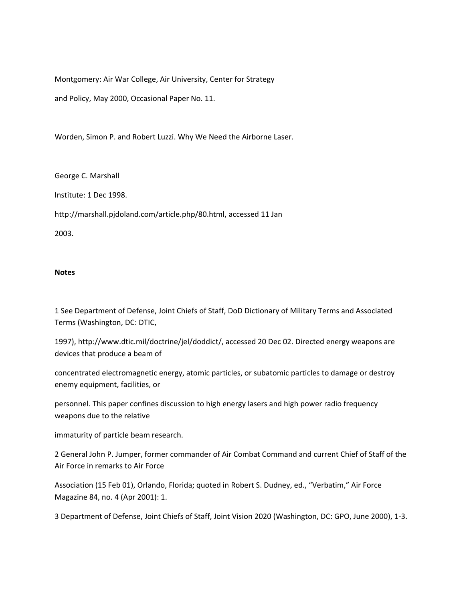Montgomery: Air War College, Air University, Center for Strategy

and Policy, May 2000, Occasional Paper No. 11.

Worden, Simon P. and Robert Luzzi. Why We Need the Airborne Laser.

George C. Marshall

Institute: 1 Dec 1998.

http://marshall.pjdoland.com/article.php/80.html, accessed 11 Jan

2003.

#### **Notes**

1 See Department of Defense, Joint Chiefs of Staff, DoD Dictionary of Military Terms and Associated Terms (Washington, DC: DTIC,

1997), http://www.dtic.mil/doctrine/jel/doddict/, accessed 20 Dec 02. Directed energy weapons are devices that produce a beam of

concentrated electromagnetic energy, atomic particles, or subatomic particles to damage or destroy enemy equipment, facilities, or

personnel. This paper confines discussion to high energy lasers and high power radio frequency weapons due to the relative

immaturity of particle beam research.

2 General John P. Jumper, former commander of Air Combat Command and current Chief of Staff of the Air Force in remarks to Air Force

Association (15 Feb 01), Orlando, Florida; quoted in Robert S. Dudney, ed., "Verbatim," Air Force Magazine 84, no. 4 (Apr 2001): 1.

3 Department of Defense, Joint Chiefs of Staff, Joint Vision 2020 (Washington, DC: GPO, June 2000), 1‐3.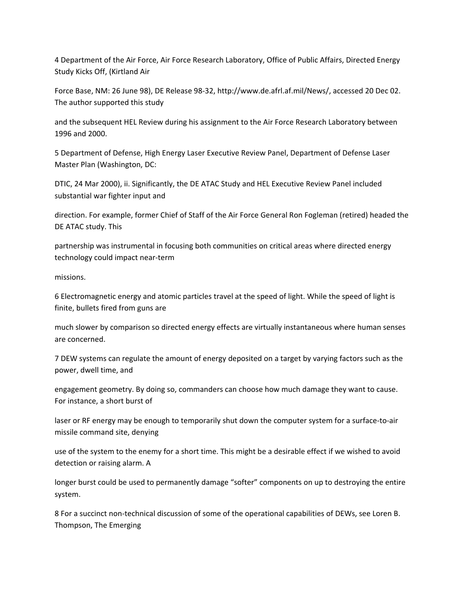4 Department of the Air Force, Air Force Research Laboratory, Office of Public Affairs, Directed Energy Study Kicks Off, (Kirtland Air

Force Base, NM: 26 June 98), DE Release 98‐32, http://www.de.afrl.af.mil/News/, accessed 20 Dec 02. The author supported this study

and the subsequent HEL Review during his assignment to the Air Force Research Laboratory between 1996 and 2000.

5 Department of Defense, High Energy Laser Executive Review Panel, Department of Defense Laser Master Plan (Washington, DC:

DTIC, 24 Mar 2000), ii. Significantly, the DE ATAC Study and HEL Executive Review Panel included substantial war fighter input and

direction. For example, former Chief of Staff of the Air Force General Ron Fogleman (retired) headed the DE ATAC study. This

partnership was instrumental in focusing both communities on critical areas where directed energy technology could impact near‐term

missions.

6 Electromagnetic energy and atomic particles travel at the speed of light. While the speed of light is finite, bullets fired from guns are

much slower by comparison so directed energy effects are virtually instantaneous where human senses are concerned.

7 DEW systems can regulate the amount of energy deposited on a target by varying factors such as the power, dwell time, and

engagement geometry. By doing so, commanders can choose how much damage they want to cause. For instance, a short burst of

laser or RF energy may be enough to temporarily shut down the computer system for a surface-to-air missile command site, denying

use of the system to the enemy for a short time. This might be a desirable effect if we wished to avoid detection or raising alarm. A

longer burst could be used to permanently damage "softer" components on up to destroying the entire system.

8 For a succinct non‐technical discussion of some of the operational capabilities of DEWs, see Loren B. Thompson, The Emerging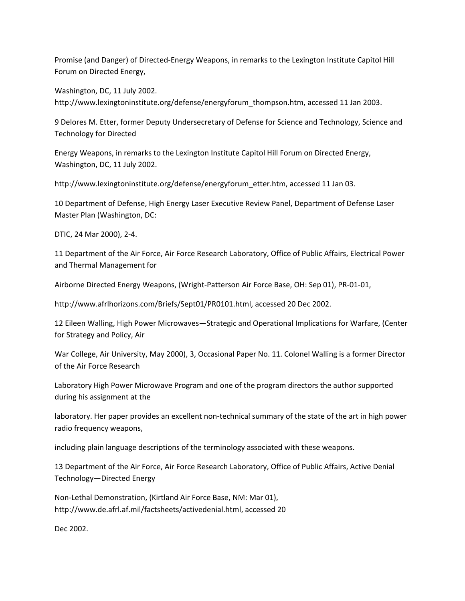Promise (and Danger) of Directed‐Energy Weapons, in remarks to the Lexington Institute Capitol Hill Forum on Directed Energy,

Washington, DC, 11 July 2002. http://www.lexingtoninstitute.org/defense/energyforum\_thompson.htm, accessed 11 Jan 2003.

9 Delores M. Etter, former Deputy Undersecretary of Defense for Science and Technology, Science and Technology for Directed

Energy Weapons, in remarks to the Lexington Institute Capitol Hill Forum on Directed Energy, Washington, DC, 11 July 2002.

http://www.lexingtoninstitute.org/defense/energyforum\_etter.htm, accessed 11 Jan 03.

10 Department of Defense, High Energy Laser Executive Review Panel, Department of Defense Laser Master Plan (Washington, DC:

DTIC, 24 Mar 2000), 2‐4.

11 Department of the Air Force, Air Force Research Laboratory, Office of Public Affairs, Electrical Power and Thermal Management for

Airborne Directed Energy Weapons, (Wright‐Patterson Air Force Base, OH: Sep 01), PR‐01‐01,

http://www.afrlhorizons.com/Briefs/Sept01/PR0101.html, accessed 20 Dec 2002.

12 Eileen Walling, High Power Microwaves—Strategic and Operational Implications for Warfare, (Center for Strategy and Policy, Air

War College, Air University, May 2000), 3, Occasional Paper No. 11. Colonel Walling is a former Director of the Air Force Research

Laboratory High Power Microwave Program and one of the program directors the author supported during his assignment at the

laboratory. Her paper provides an excellent non‐technical summary of the state of the art in high power radio frequency weapons,

including plain language descriptions of the terminology associated with these weapons.

13 Department of the Air Force, Air Force Research Laboratory, Office of Public Affairs, Active Denial Technology—Directed Energy

Non‐Lethal Demonstration, (Kirtland Air Force Base, NM: Mar 01), http://www.de.afrl.af.mil/factsheets/activedenial.html, accessed 20

Dec 2002.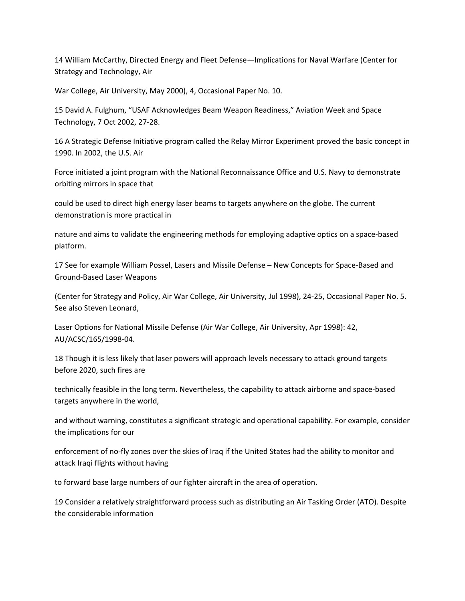14 William McCarthy, Directed Energy and Fleet Defense—Implications for Naval Warfare (Center for Strategy and Technology, Air

War College, Air University, May 2000), 4, Occasional Paper No. 10.

15 David A. Fulghum, "USAF Acknowledges Beam Weapon Readiness," Aviation Week and Space Technology, 7 Oct 2002, 27‐28.

16 A Strategic Defense Initiative program called the Relay Mirror Experiment proved the basic concept in 1990. In 2002, the U.S. Air

Force initiated a joint program with the National Reconnaissance Office and U.S. Navy to demonstrate orbiting mirrors in space that

could be used to direct high energy laser beams to targets anywhere on the globe. The current demonstration is more practical in

nature and aims to validate the engineering methods for employing adaptive optics on a space-based platform.

17 See for example William Possel, Lasers and Missile Defense – New Concepts for Space‐Based and Ground‐Based Laser Weapons

(Center for Strategy and Policy, Air War College, Air University, Jul 1998), 24‐25, Occasional Paper No. 5. See also Steven Leonard,

Laser Options for National Missile Defense (Air War College, Air University, Apr 1998): 42, AU/ACSC/165/1998‐04.

18 Though it is less likely that laser powers will approach levels necessary to attack ground targets before 2020, such fires are

technically feasible in the long term. Nevertheless, the capability to attack airborne and space‐based targets anywhere in the world,

and without warning, constitutes a significant strategic and operational capability. For example, consider the implications for our

enforcement of no‐fly zones over the skies of Iraq if the United States had the ability to monitor and attack Iraqi flights without having

to forward base large numbers of our fighter aircraft in the area of operation.

19 Consider a relatively straightforward process such as distributing an Air Tasking Order (ATO). Despite the considerable information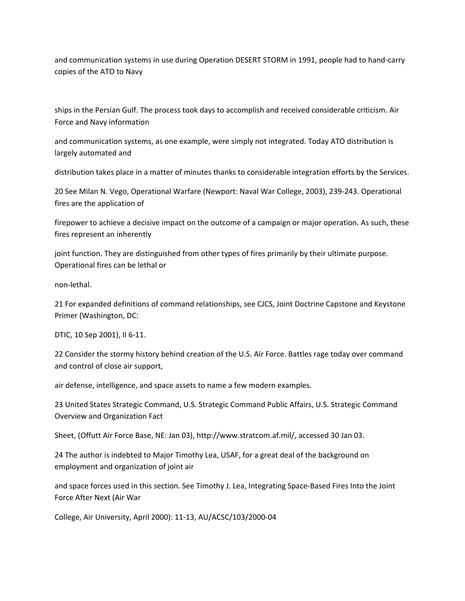and communication systems in use during Operation DESERT STORM in 1991, people had to hand-carry copies of the ATO to Navy

ships in the Persian Gulf. The process took days to accomplish and received considerable criticism. Air Force and Navy information

and communication systems, as one example, were simply not integrated. Today ATO distribution is largely automated and

distribution takes place in a matter of minutes thanks to considerable integration efforts by the Services.

20 See Milan N. Vego, Operational Warfare (Newport: Naval War College, 2003), 239‐243. Operational fires are the application of

firepower to achieve a decisive impact on the outcome of a campaign or major operation. As such, these fires represent an inherently

joint function. They are distinguished from other types of fires primarily by their ultimate purpose. Operational fires can be lethal or

non‐lethal.

21 For expanded definitions of command relationships, see CJCS, Joint Doctrine Capstone and Keystone Primer (Washington, DC:

DTIC, 10 Sep 2001), II 6‐11.

22 Consider the stormy history behind creation of the U.S. Air Force. Battles rage today over command and control of close air support,

air defense, intelligence, and space assets to name a few modern examples.

23 United States Strategic Command, U.S. Strategic Command Public Affairs, U.S. Strategic Command Overview and Organization Fact

Sheet, (Offutt Air Force Base, NE: Jan 03), http://www.stratcom.af.mil/, accessed 30 Jan 03.

24 The author is indebted to Major Timothy Lea, USAF, for a great deal of the background on employment and organization of joint air

and space forces used in this section. See Timothy J. Lea, Integrating Space‐Based Fires Into the Joint Force After Next (Air War

College, Air University, April 2000): 11‐13, AU/ACSC/103/2000‐04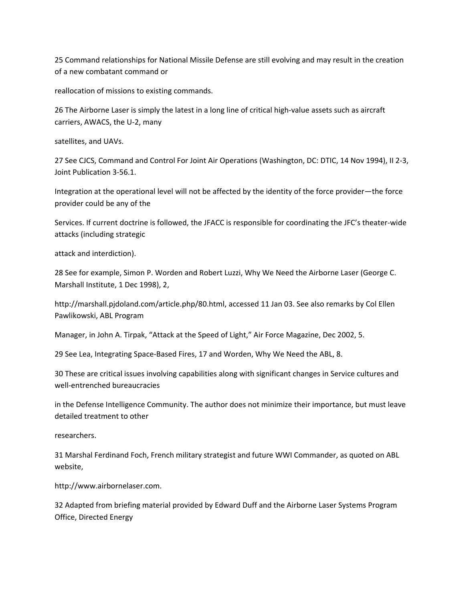25 Command relationships for National Missile Defense are still evolving and may result in the creation of a new combatant command or

reallocation of missions to existing commands.

26 The Airborne Laser is simply the latest in a long line of critical high‐value assets such as aircraft carriers, AWACS, the U‐2, many

satellites, and UAVs.

27 See CJCS, Command and Control For Joint Air Operations (Washington, DC: DTIC, 14 Nov 1994), II 2‐3, Joint Publication 3‐56.1.

Integration at the operational level will not be affected by the identity of the force provider—the force provider could be any of the

Services. If current doctrine is followed, the JFACC is responsible for coordinating the JFC's theater‐wide attacks (including strategic

attack and interdiction).

28 See for example, Simon P. Worden and Robert Luzzi, Why We Need the Airborne Laser (George C. Marshall Institute, 1 Dec 1998), 2,

http://marshall.pjdoland.com/article.php/80.html, accessed 11 Jan 03. See also remarks by Col Ellen Pawlikowski, ABL Program

Manager, in John A. Tirpak, "Attack at the Speed of Light," Air Force Magazine, Dec 2002, 5.

29 See Lea, Integrating Space‐Based Fires, 17 and Worden, Why We Need the ABL, 8.

30 These are critical issues involving capabilities along with significant changes in Service cultures and well‐entrenched bureaucracies

in the Defense Intelligence Community. The author does not minimize their importance, but must leave detailed treatment to other

researchers.

31 Marshal Ferdinand Foch, French military strategist and future WWI Commander, as quoted on ABL website,

http://www.airbornelaser.com.

32 Adapted from briefing material provided by Edward Duff and the Airborne Laser Systems Program Office, Directed Energy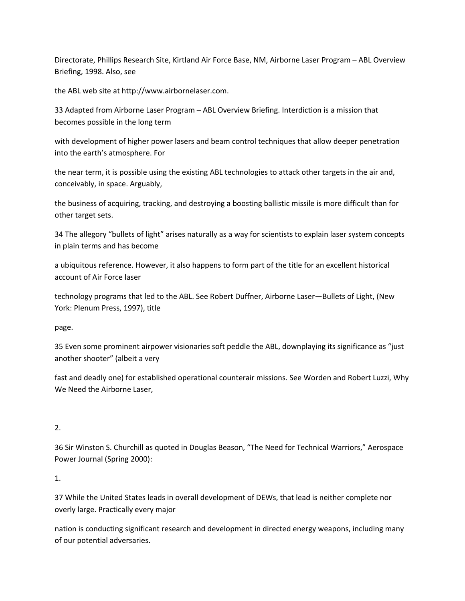Directorate, Phillips Research Site, Kirtland Air Force Base, NM, Airborne Laser Program – ABL Overview Briefing, 1998. Also, see

the ABL web site at http://www.airbornelaser.com.

33 Adapted from Airborne Laser Program – ABL Overview Briefing. Interdiction is a mission that becomes possible in the long term

with development of higher power lasers and beam control techniques that allow deeper penetration into the earth's atmosphere. For

the near term, it is possible using the existing ABL technologies to attack other targets in the air and, conceivably, in space. Arguably,

the business of acquiring, tracking, and destroying a boosting ballistic missile is more difficult than for other target sets.

34 The allegory "bullets of light" arises naturally as a way for scientists to explain laser system concepts in plain terms and has become

a ubiquitous reference. However, it also happens to form part of the title for an excellent historical account of Air Force laser

technology programs that led to the ABL. See Robert Duffner, Airborne Laser—Bullets of Light, (New York: Plenum Press, 1997), title

page.

35 Even some prominent airpower visionaries soft peddle the ABL, downplaying its significance as "just another shooter" (albeit a very

fast and deadly one) for established operational counterair missions. See Worden and Robert Luzzi, Why We Need the Airborne Laser,

### 2.

36 Sir Winston S. Churchill as quoted in Douglas Beason, "The Need for Technical Warriors," Aerospace Power Journal (Spring 2000):

1.

37 While the United States leads in overall development of DEWs, that lead is neither complete nor overly large. Practically every major

nation is conducting significant research and development in directed energy weapons, including many of our potential adversaries.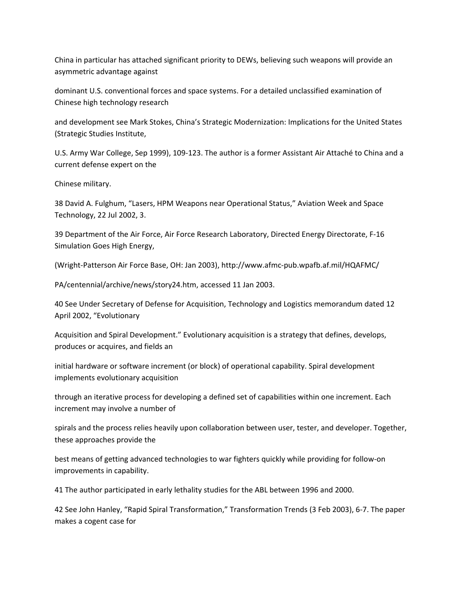China in particular has attached significant priority to DEWs, believing such weapons will provide an asymmetric advantage against

dominant U.S. conventional forces and space systems. For a detailed unclassified examination of Chinese high technology research

and development see Mark Stokes, China's Strategic Modernization: Implications for the United States (Strategic Studies Institute,

U.S. Army War College, Sep 1999), 109‐123. The author is a former Assistant Air Attaché to China and a current defense expert on the

Chinese military.

38 David A. Fulghum, "Lasers, HPM Weapons near Operational Status," Aviation Week and Space Technology, 22 Jul 2002, 3.

39 Department of the Air Force, Air Force Research Laboratory, Directed Energy Directorate, F‐16 Simulation Goes High Energy,

(Wright‐Patterson Air Force Base, OH: Jan 2003), http://www.afmc‐pub.wpafb.af.mil/HQAFMC/

PA/centennial/archive/news/story24.htm, accessed 11 Jan 2003.

40 See Under Secretary of Defense for Acquisition, Technology and Logistics memorandum dated 12 April 2002, "Evolutionary

Acquisition and Spiral Development." Evolutionary acquisition is a strategy that defines, develops, produces or acquires, and fields an

initial hardware or software increment (or block) of operational capability. Spiral development implements evolutionary acquisition

through an iterative process for developing a defined set of capabilities within one increment. Each increment may involve a number of

spirals and the process relies heavily upon collaboration between user, tester, and developer. Together, these approaches provide the

best means of getting advanced technologies to war fighters quickly while providing for follow‐on improvements in capability.

41 The author participated in early lethality studies for the ABL between 1996 and 2000.

42 See John Hanley, "Rapid Spiral Transformation," Transformation Trends (3 Feb 2003), 6‐7. The paper makes a cogent case for